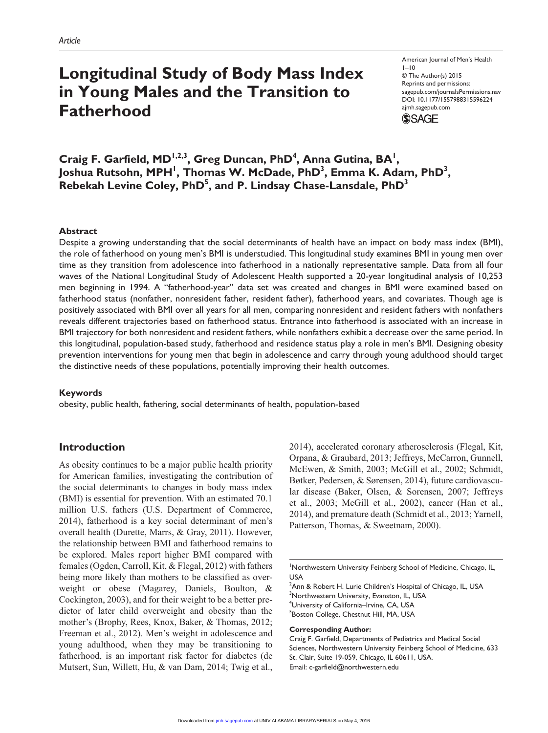# **Longitudinal Study of Body Mass Index in Young Males and the Transition to Fatherhood**

American Journal of Men's Health 1–10 © The Author(s) 2015 Reprints and permissions: sagepub.com/journalsPermissions.nav DOI: 10.1177/1557988315596224 ajmh.sagepub.com



Craig F. Garfield, MD<sup>1,2,3</sup>, Greg Duncan, PhD<sup>4</sup>, Anna Gutina, BA<sup>1</sup>, Joshua Rutsohn, MPH<sup>I</sup>, Thomas W. McDade, PhD<sup>3</sup>, Emma K. Adam, PhD<sup>3</sup>, Rebekah Levine Coley, PhD<sup>5</sup>, and P. Lindsay Chase-Lansdale, PhD<sup>3</sup>

#### **Abstract**

Despite a growing understanding that the social determinants of health have an impact on body mass index (BMI), the role of fatherhood on young men's BMI is understudied. This longitudinal study examines BMI in young men over time as they transition from adolescence into fatherhood in a nationally representative sample. Data from all four waves of the National Longitudinal Study of Adolescent Health supported a 20-year longitudinal analysis of 10,253 men beginning in 1994. A "fatherhood-year" data set was created and changes in BMI were examined based on fatherhood status (nonfather, nonresident father, resident father), fatherhood years, and covariates. Though age is positively associated with BMI over all years for all men, comparing nonresident and resident fathers with nonfathers reveals different trajectories based on fatherhood status. Entrance into fatherhood is associated with an increase in BMI trajectory for both nonresident and resident fathers, while nonfathers exhibit a decrease over the same period. In this longitudinal, population-based study, fatherhood and residence status play a role in men's BMI. Designing obesity prevention interventions for young men that begin in adolescence and carry through young adulthood should target the distinctive needs of these populations, potentially improving their health outcomes.

#### **Keywords**

obesity, public health, fathering, social determinants of health, population-based

## **Introduction**

As obesity continues to be a major public health priority for American families, investigating the contribution of the social determinants to changes in body mass index (BMI) is essential for prevention. With an estimated 70.1 million U.S. fathers (U.S. Department of Commerce, 2014), fatherhood is a key social determinant of men's overall health (Durette, Marrs, & Gray, 2011). However, the relationship between BMI and fatherhood remains to be explored. Males report higher BMI compared with females (Ogden, Carroll, Kit, & Flegal, 2012) with fathers being more likely than mothers to be classified as overweight or obese (Magarey, Daniels, Boulton, & Cockington, 2003), and for their weight to be a better predictor of later child overweight and obesity than the mother's (Brophy, Rees, Knox, Baker, & Thomas, 2012; Freeman et al., 2012). Men's weight in adolescence and young adulthood, when they may be transitioning to fatherhood, is an important risk factor for diabetes (de Mutsert, Sun, Willett, Hu, & van Dam, 2014; Twig et al., 2014), accelerated coronary atherosclerosis (Flegal, Kit, Orpana, & Graubard, 2013; Jeffreys, McCarron, Gunnell, McEwen, & Smith, 2003; McGill et al., 2002; Schmidt, Bøtker, Pedersen, & Sørensen, 2014), future cardiovascular disease (Baker, Olsen, & Sorensen, 2007; Jeffreys et al., 2003; McGill et al., 2002), cancer (Han et al., 2014), and premature death (Schmidt et al., 2013; Yarnell, Patterson, Thomas, & Sweetnam, 2000).

 $^2$ Ann & Robert H. Lurie Children's Hospital of Chicago, IL, USA <sup>3</sup>Northwestern University, Evanston, IL, USA 4 University of California–Irvine, CA, USA <sup>5</sup>Boston College, Chestnut Hill, MA, USA

#### **Corresponding Author:**

Craig F. Garfield, Departments of Pediatrics and Medical Social Sciences, Northwestern University Feinberg School of Medicine, 633 St. Clair, Suite 19-059, Chicago, IL 60611, USA. Email: [c-garfield@northwestern.edu](mailto:c-garfield@northwestern.edu)

<sup>1</sup> Northwestern University Feinberg School of Medicine, Chicago, IL, USA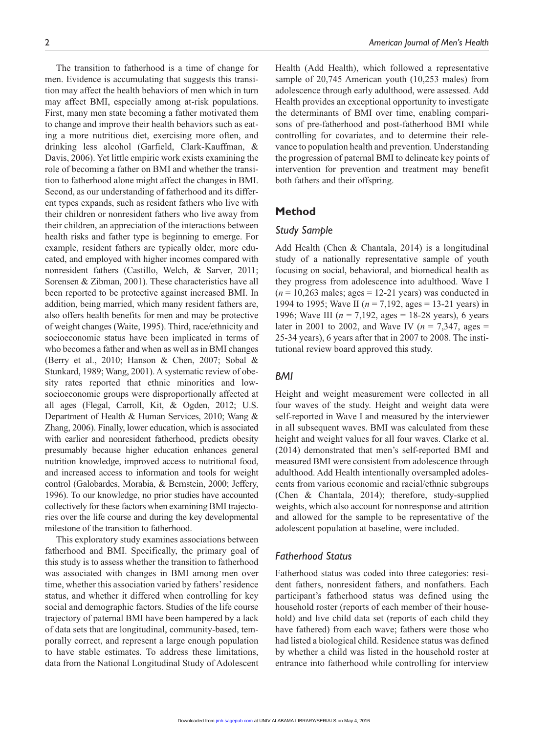The transition to fatherhood is a time of change for men. Evidence is accumulating that suggests this transition may affect the health behaviors of men which in turn may affect BMI, especially among at-risk populations. First, many men state becoming a father motivated them to change and improve their health behaviors such as eating a more nutritious diet, exercising more often, and drinking less alcohol (Garfield, Clark-Kauffman, & Davis, 2006). Yet little empiric work exists examining the role of becoming a father on BMI and whether the transition to fatherhood alone might affect the changes in BMI. Second, as our understanding of fatherhood and its different types expands, such as resident fathers who live with their children or nonresident fathers who live away from their children, an appreciation of the interactions between health risks and father type is beginning to emerge. For example, resident fathers are typically older, more educated, and employed with higher incomes compared with nonresident fathers (Castillo, Welch, & Sarver, 2011; Sorensen & Zibman, 2001). These characteristics have all been reported to be protective against increased BMI. In addition, being married, which many resident fathers are, also offers health benefits for men and may be protective of weight changes (Waite, 1995). Third, race/ethnicity and socioeconomic status have been implicated in terms of who becomes a father and when as well as in BMI changes (Berry et al., 2010; Hanson & Chen, 2007; Sobal & Stunkard, 1989; Wang, 2001). A systematic review of obesity rates reported that ethnic minorities and lowsocioeconomic groups were disproportionally affected at all ages (Flegal, Carroll, Kit, & Ogden, 2012; U.S. Department of Health & Human Services, 2010; Wang & Zhang, 2006). Finally, lower education, which is associated with earlier and nonresident fatherhood, predicts obesity presumably because higher education enhances general nutrition knowledge, improved access to nutritional food, and increased access to information and tools for weight control (Galobardes, Morabia, & Bernstein, 2000; Jeffery, 1996). To our knowledge, no prior studies have accounted collectively for these factors when examining BMI trajectories over the life course and during the key developmental milestone of the transition to fatherhood.

This exploratory study examines associations between fatherhood and BMI. Specifically, the primary goal of this study is to assess whether the transition to fatherhood was associated with changes in BMI among men over time, whether this association varied by fathers' residence status, and whether it differed when controlling for key social and demographic factors. Studies of the life course trajectory of paternal BMI have been hampered by a lack of data sets that are longitudinal, community-based, temporally correct, and represent a large enough population to have stable estimates. To address these limitations, data from the National Longitudinal Study of Adolescent

Health (Add Health), which followed a representative sample of 20,745 American youth (10,253 males) from adolescence through early adulthood, were assessed. Add Health provides an exceptional opportunity to investigate the determinants of BMI over time, enabling comparisons of pre-fatherhood and post-fatherhood BMI while controlling for covariates, and to determine their relevance to population health and prevention. Understanding the progression of paternal BMI to delineate key points of intervention for prevention and treatment may benefit both fathers and their offspring.

# **Method**

# *Study Sample*

Add Health (Chen & Chantala, 2014) is a longitudinal study of a nationally representative sample of youth focusing on social, behavioral, and biomedical health as they progress from adolescence into adulthood. Wave I  $(n = 10,263 \text{ males}; \text{ages} = 12-21 \text{ years})$  was conducted in 1994 to 1995; Wave II ( $n = 7,192$ , ages = 13-21 years) in 1996; Wave III (*n* = 7,192, ages = 18-28 years), 6 years later in 2001 to 2002, and Wave IV ( $n = 7,347$ , ages = 25-34 years), 6 years after that in 2007 to 2008. The institutional review board approved this study.

# *BMI*

Height and weight measurement were collected in all four waves of the study. Height and weight data were self-reported in Wave I and measured by the interviewer in all subsequent waves. BMI was calculated from these height and weight values for all four waves. Clarke et al. (2014) demonstrated that men's self-reported BMI and measured BMI were consistent from adolescence through adulthood. Add Health intentionally oversampled adolescents from various economic and racial/ethnic subgroups (Chen & Chantala, 2014); therefore, study-supplied weights, which also account for nonresponse and attrition and allowed for the sample to be representative of the adolescent population at baseline, were included.

# *Fatherhood Status*

Fatherhood status was coded into three categories: resident fathers, nonresident fathers, and nonfathers. Each participant's fatherhood status was defined using the household roster (reports of each member of their household) and live child data set (reports of each child they have fathered) from each wave; fathers were those who had listed a biological child. Residence status was defined by whether a child was listed in the household roster at entrance into fatherhood while controlling for interview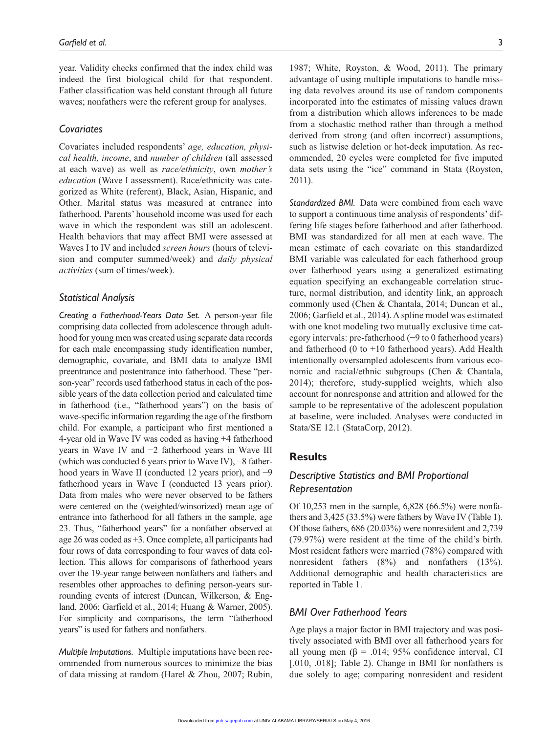year. Validity checks confirmed that the index child was indeed the first biological child for that respondent. Father classification was held constant through all future waves; nonfathers were the referent group for analyses.

## *Covariates*

Covariates included respondents' *age, education, physical health, income*, and *number of children* (all assessed at each wave) as well as *race/ethnicity*, own *mother's education* (Wave I assessment). Race/ethnicity was categorized as White (referent), Black, Asian, Hispanic, and Other. Marital status was measured at entrance into fatherhood. Parents' household income was used for each wave in which the respondent was still an adolescent. Health behaviors that may affect BMI were assessed at Waves I to IV and included *screen hours* (hours of television and computer summed/week) and *daily physical activities* (sum of times/week).

#### *Statistical Analysis*

*Creating a Fatherhood-Years Data Set.* A person-year file comprising data collected from adolescence through adulthood for young men was created using separate data records for each male encompassing study identification number, demographic, covariate, and BMI data to analyze BMI preentrance and postentrance into fatherhood. These "person-year" records used fatherhood status in each of the possible years of the data collection period and calculated time in fatherhood (i.e., "fatherhood years") on the basis of wave-specific information regarding the age of the firstborn child. For example, a participant who first mentioned a 4-year old in Wave IV was coded as having +4 fatherhood years in Wave IV and −2 fatherhood years in Wave III (which was conducted 6 years prior to Wave IV), −8 fatherhood years in Wave II (conducted 12 years prior), and −9 fatherhood years in Wave I (conducted 13 years prior). Data from males who were never observed to be fathers were centered on the (weighted/winsorized) mean age of entrance into fatherhood for all fathers in the sample, age 23. Thus, "fatherhood years" for a nonfather observed at age 26 was coded as +3. Once complete, all participants had four rows of data corresponding to four waves of data collection. This allows for comparisons of fatherhood years over the 19-year range between nonfathers and fathers and resembles other approaches to defining person-years surrounding events of interest (Duncan, Wilkerson, & England, 2006; Garfield et al., 2014; Huang & Warner, 2005). For simplicity and comparisons, the term "fatherhood years" is used for fathers and nonfathers.

*Multiple Imputations.* Multiple imputations have been recommended from numerous sources to minimize the bias of data missing at random (Harel & Zhou, 2007; Rubin,

1987; White, Royston, & Wood, 2011). The primary advantage of using multiple imputations to handle missing data revolves around its use of random components incorporated into the estimates of missing values drawn from a distribution which allows inferences to be made from a stochastic method rather than through a method derived from strong (and often incorrect) assumptions, such as listwise deletion or hot-deck imputation. As recommended, 20 cycles were completed for five imputed data sets using the "ice" command in Stata (Royston, 2011).

*Standardized BMI.* Data were combined from each wave to support a continuous time analysis of respondents' differing life stages before fatherhood and after fatherhood. BMI was standardized for all men at each wave. The mean estimate of each covariate on this standardized BMI variable was calculated for each fatherhood group over fatherhood years using a generalized estimating equation specifying an exchangeable correlation structure, normal distribution, and identity link, an approach commonly used (Chen & Chantala, 2014; Duncan et al., 2006; Garfield et al., 2014). A spline model was estimated with one knot modeling two mutually exclusive time category intervals: pre-fatherhood (−9 to 0 fatherhood years) and fatherhood (0 to  $+10$  fatherhood years). Add Health intentionally oversampled adolescents from various economic and racial/ethnic subgroups (Chen & Chantala, 2014); therefore, study-supplied weights, which also account for nonresponse and attrition and allowed for the sample to be representative of the adolescent population at baseline, were included. Analyses were conducted in Stata/SE 12.1 (StataCorp, 2012).

# **Results**

# *Descriptive Statistics and BMI Proportional Representation*

Of 10,253 men in the sample, 6,828 (66.5%) were nonfathers and 3,425 (33.5%) were fathers by Wave IV (Table 1). Of those fathers, 686 (20.03%) were nonresident and 2,739 (79.97%) were resident at the time of the child's birth. Most resident fathers were married (78%) compared with nonresident fathers (8%) and nonfathers (13%). Additional demographic and health characteristics are reported in Table 1.

# *BMI Over Fatherhood Years*

Age plays a major factor in BMI trajectory and was positively associated with BMI over all fatherhood years for all young men (β = .014; 95% confidence interval, CI [.010, .018]; Table 2). Change in BMI for nonfathers is due solely to age; comparing nonresident and resident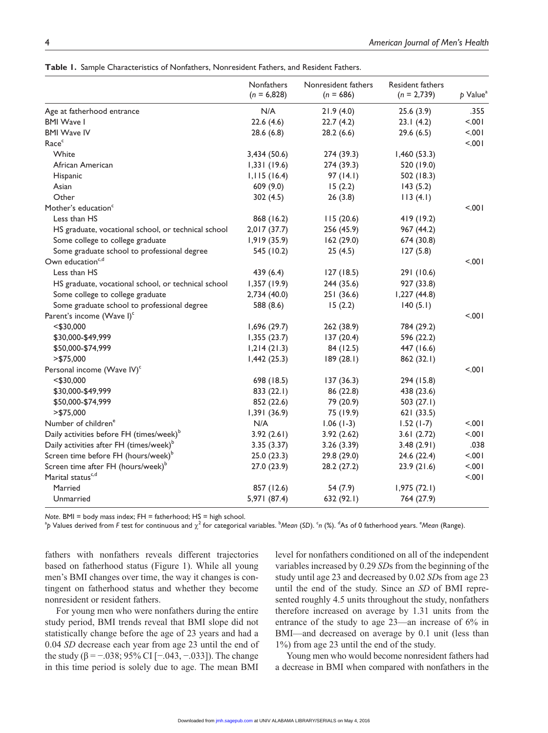|  |  |  |  |  |  | Table 1. Sample Characteristics of Nonfathers, Nonresident Fathers, and Resident Fathers. |
|--|--|--|--|--|--|-------------------------------------------------------------------------------------------|
|--|--|--|--|--|--|-------------------------------------------------------------------------------------------|

|                                                      | Nonfathers    | Nonresident fathers | Resident fathers |                        |
|------------------------------------------------------|---------------|---------------------|------------------|------------------------|
|                                                      | $(n = 6,828)$ | $(n = 686)$         | $(n = 2,739)$    | $p$ Value <sup>a</sup> |
| Age at fatherhood entrance                           | N/A           | 21.9(4.0)           | 25.6(3.9)        | .355                   |
| <b>BMI Wave I</b>                                    | 22.6(4.6)     | 22.7(4.2)           | 23.1(4.2)        | $500 -$                |
| <b>BMI Wave IV</b>                                   | 28.6 (6.8)    | 28.2(6.6)           | 29.6(6.5)        | 100.5                  |
| Race <sup>c</sup>                                    |               |                     |                  | < 0.01                 |
| White                                                | 3,434 (50.6)  | 274 (39.3)          | 1,460(53.3)      |                        |
| African American                                     | 1,331(19.6)   | 274 (39.3)          | 520 (19.0)       |                        |
| Hispanic                                             | 1,115(16.4)   | 97 (14.1)           | 502 (18.3)       |                        |
| Asian                                                | 609 (9.0)     | 15(2.2)             | 143(5.2)         |                        |
| Other                                                | 302 (4.5)     | 26(3.8)             | 113(4.1)         |                        |
| Mother's education <sup>c</sup>                      |               |                     |                  | 5.001                  |
| Less than HS                                         | 868 (16.2)    | 115(20.6)           | 419 (19.2)       |                        |
| HS graduate, vocational school, or technical school  | 2,017 (37.7)  | 256 (45.9)          | 967 (44.2)       |                        |
| Some college to college graduate                     | 1,919(35.9)   | 162(29.0)           | 674 (30.8)       |                        |
| Some graduate school to professional degree          | 545 (10.2)    | 25(4.5)             | 127(5.8)         |                        |
| Own education <sup>c,d</sup>                         |               |                     |                  | < 0.01                 |
| Less than HS                                         | 439 (6.4)     | 127(18.5)           | 291 (10.6)       |                        |
| HS graduate, vocational school, or technical school  | 1,357(19.9)   | 244 (35.6)          | 927 (33.8)       |                        |
| Some college to college graduate                     | 2,734 (40.0)  | 251 (36.6)          | 1,227(44.8)      |                        |
| Some graduate school to professional degree          | 588 (8.6)     | 15(2.2)             | 140(5.1)         |                        |
| Parent's income (Wave I) <sup>c</sup>                |               |                     |                  | < 0.01                 |
| $<$ \$30,000                                         | 1,696 (29.7)  | 262 (38.9)          | 784 (29.2)       |                        |
| \$30,000-\$49,999                                    | 1,355(23.7)   | 137(20.4)           | 596 (22.2)       |                        |
| \$50,000-\$74,999                                    | 1,214(21.3)   | 84 (12.5)           | 447 (16.6)       |                        |
| $>$ \$75,000                                         | 1,442(25.3)   | 189 (28.1)          | 862 (32.1)       |                        |
| Personal income (Wave IV) <sup>c</sup>               |               |                     |                  | 5.001                  |
| $<$ \$30,000                                         | 698 (18.5)    | 137(36.3)           | 294 (15.8)       |                        |
| \$30,000-\$49,999                                    | 833 (22.1)    | 86 (22.8)           | 438 (23.6)       |                        |
| \$50,000-\$74,999                                    | 852 (22.6)    | 79 (20.9)           | 503 $(27.1)$     |                        |
| $>$ \$75,000                                         | 1,391(36.9)   | 75 (19.9)           | 621(33.5)        |                        |
| Number of children <sup>e</sup>                      | N/A           | $1.06(1-3)$         | $1.52(1-7)$      | 5.001                  |
| Daily activities before FH (times/week) <sup>b</sup> | 3.92(2.61)    | 3.92(2.62)          | 3.61(2.72)       | 5.001                  |
| Daily activities after FH (times/week) <sup>b</sup>  | 3.35(3.37)    | 3.26(3.39)          | 3.48(2.91)       | .038                   |
| Screen time before FH (hours/week) <sup>b</sup>      | 25.0(23.3)    | 29.8 (29.0)         | 24.6 (22.4)      | 5.001                  |
| Screen time after FH (hours/week) <sup>b</sup>       | 27.0 (23.9)   | 28.2 (27.2)         | 23.9(21.6)       | 5.001                  |
| Marital status <sup>c,d</sup>                        |               |                     |                  | < 0.01                 |
| Married                                              | 857 (12.6)    | 54 (7.9)            | 1,975(72.1)      |                        |
| Unmarried                                            | 5,971 (87.4)  | 632 (92.1)          | 764 (27.9)       |                        |

*Note*. BMI = body mass index; FH = fatherhood; HS = high school.

<sup>a</sup>p Values derived from *F* test for continuous and χ<sup>2</sup> for categorical variables. <sup>b</sup>Mean (SD). <sup>c</sup>n (%). <sup>d</sup>As of 0 fatherhood years. <sup>e</sup>Mean (Range).

fathers with nonfathers reveals different trajectories based on fatherhood status (Figure 1). While all young men's BMI changes over time, the way it changes is contingent on fatherhood status and whether they become nonresident or resident fathers.

For young men who were nonfathers during the entire study period, BMI trends reveal that BMI slope did not statistically change before the age of 23 years and had a 0.04 *SD* decrease each year from age 23 until the end of the study (β =  $-0.038$ ; 95% CI [ $-0.043$ ,  $-0.033$ ]). The change in this time period is solely due to age. The mean BMI

level for nonfathers conditioned on all of the independent variables increased by 0.29 *SD*s from the beginning of the study until age 23 and decreased by 0.02 *SD*s from age 23 until the end of the study. Since an *SD* of BMI represented roughly 4.5 units throughout the study, nonfathers therefore increased on average by 1.31 units from the entrance of the study to age 23—an increase of 6% in BMI—and decreased on average by 0.1 unit (less than 1%) from age 23 until the end of the study.

Young men who would become nonresident fathers had a decrease in BMI when compared with nonfathers in the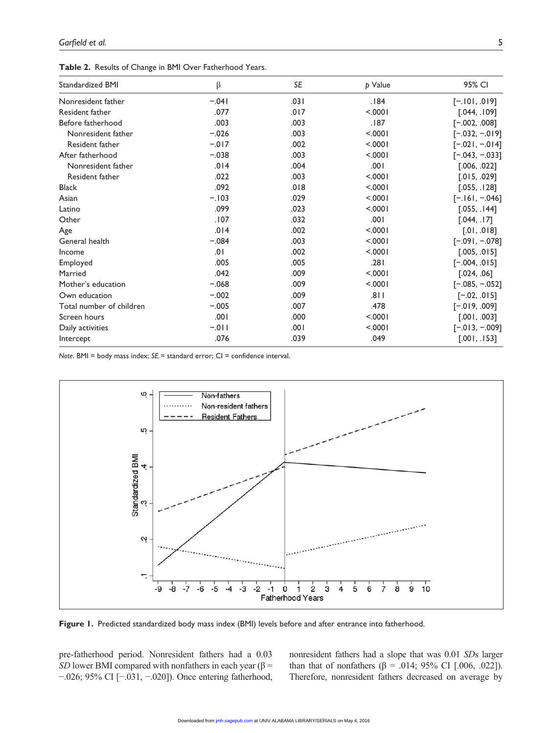| Standardized BMI         | β       | SE   | p Value | 95% CI           |
|--------------------------|---------|------|---------|------------------|
| Nonresident father       | $-.041$ | .031 | .184    | $[-.101, .019]$  |
| Resident father          | .077    | .017 | < .0001 | [.044, .109]     |
| Before fatherhood        | .003    | .003 | .187    | $[-.002, .008]$  |
| Nonresident father       | $-.026$ | .003 | < .0001 | $[-.032, -.019]$ |
| Resident father          | $-.017$ | .002 | < .0001 | $[-.021, -.014]$ |
| After fatherhood         | $-.038$ | .003 | < 0001  | $[-.043, -.033]$ |
| Nonresident father       | .014    | .004 | .001    | [.006, .022]     |
| Resident father          | .022    | .003 | < .0001 | [.015, .029]     |
| <b>Black</b>             | .092    | .018 | < 0001  | [.055, .128]     |
| Asian                    | $-.103$ | .029 | < 0001  | $[-.161, -.046]$ |
| Latino                   | .099    | .023 | < .0001 | [.055, .144]     |
| Other                    | .107    | .032 | .001    | [.044, .17]      |
| Age                      | .014    | .002 | < .0001 | [.01, .018]      |
| General health           | $-.084$ | .003 | < .0001 | $[-.091, -.078]$ |
| Income                   | 10.     | .002 | < .0001 | [.005, .015]     |
| Employed                 | .005    | .005 | .281    | $[-.004, .015]$  |
| Married                  | .042    | .009 | < .0001 | [.024, .06]      |
| Mother's education       | $-.068$ | .009 | < .0001 | $[-.085, -.052]$ |
| Own education            | $-.002$ | .009 | .811    | $[-.02, .015]$   |
| Total number of children | $-.005$ | .007 | .478    | $[-.019, .009]$  |
| Screen hours             | .001    | .000 | < .0001 | [.001, .003]     |
| Daily activities         | $-.011$ | .001 | < .0001 | $[-.013, -.009]$ |
| Intercept                | .076    | .039 | .049    | [.001, .153]     |

**Table 2.** Results of Change in BMI Over Fatherhood Years.

*Note*. BMI = body mass index; *SE* = standard error; CI = confidence interval.



**Figure 1.** Predicted standardized body mass index (BMI) levels before and after entrance into fatherhood.

pre-fatherhood period. Nonresident fathers had a 0.03 *SD* lower BMI compared with nonfathers in each year ( $\beta$  = −.026; 95% CI [−.031, −.020]). Once entering fatherhood, nonresident fathers had a slope that was 0.01 *SD*s larger than that of nonfathers (β = .014; 95% CI [.006, .022]). Therefore, nonresident fathers decreased on average by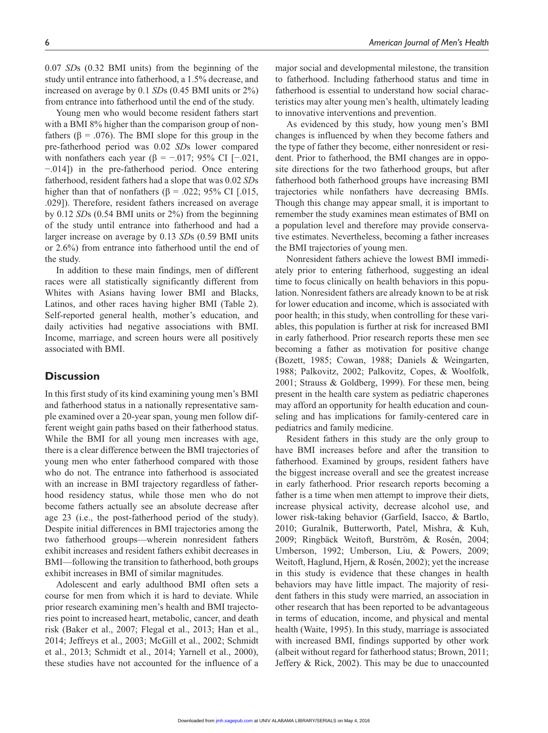0.07 *SD*s (0.32 BMI units) from the beginning of the study until entrance into fatherhood, a 1.5% decrease, and increased on average by 0.1 *SD*s (0.45 BMI units or 2%) from entrance into fatherhood until the end of the study.

Young men who would become resident fathers start with a BMI 8% higher than the comparison group of nonfathers (β = .076). The BMI slope for this group in the pre-fatherhood period was 0.02 *SD*s lower compared with nonfathers each year ( $\beta$  = -.017; 95% CI [-.021, −.014]) in the pre-fatherhood period. Once entering fatherhood, resident fathers had a slope that was 0.02 *SD*s higher than that of nonfathers ( $\beta$  = .022; 95% CI [.015, .029]). Therefore, resident fathers increased on average by 0.12 *SD*s (0.54 BMI units or 2%) from the beginning of the study until entrance into fatherhood and had a larger increase on average by 0.13 *SD*s (0.59 BMI units or 2.6%) from entrance into fatherhood until the end of the study.

In addition to these main findings, men of different races were all statistically significantly different from Whites with Asians having lower BMI and Blacks, Latinos, and other races having higher BMI (Table 2). Self-reported general health, mother's education, and daily activities had negative associations with BMI. Income, marriage, and screen hours were all positively associated with BMI.

## **Discussion**

In this first study of its kind examining young men's BMI and fatherhood status in a nationally representative sample examined over a 20-year span, young men follow different weight gain paths based on their fatherhood status. While the BMI for all young men increases with age, there is a clear difference between the BMI trajectories of young men who enter fatherhood compared with those who do not. The entrance into fatherhood is associated with an increase in BMI trajectory regardless of fatherhood residency status, while those men who do not become fathers actually see an absolute decrease after age 23 (i.e., the post-fatherhood period of the study). Despite initial differences in BMI trajectories among the two fatherhood groups—wherein nonresident fathers exhibit increases and resident fathers exhibit decreases in BMI—following the transition to fatherhood, both groups exhibit increases in BMI of similar magnitudes.

Adolescent and early adulthood BMI often sets a course for men from which it is hard to deviate. While prior research examining men's health and BMI trajectories point to increased heart, metabolic, cancer, and death risk (Baker et al., 2007; Flegal et al., 2013; Han et al., 2014; Jeffreys et al., 2003; McGill et al., 2002; Schmidt et al., 2013; Schmidt et al., 2014; Yarnell et al., 2000), these studies have not accounted for the influence of a major social and developmental milestone, the transition to fatherhood. Including fatherhood status and time in fatherhood is essential to understand how social characteristics may alter young men's health, ultimately leading to innovative interventions and prevention.

As evidenced by this study, how young men's BMI changes is influenced by when they become fathers and the type of father they become, either nonresident or resident. Prior to fatherhood, the BMI changes are in opposite directions for the two fatherhood groups, but after fatherhood both fatherhood groups have increasing BMI trajectories while nonfathers have decreasing BMIs. Though this change may appear small, it is important to remember the study examines mean estimates of BMI on a population level and therefore may provide conservative estimates. Nevertheless, becoming a father increases the BMI trajectories of young men.

Nonresident fathers achieve the lowest BMI immediately prior to entering fatherhood, suggesting an ideal time to focus clinically on health behaviors in this population. Nonresident fathers are already known to be at risk for lower education and income, which is associated with poor health; in this study, when controlling for these variables, this population is further at risk for increased BMI in early fatherhood. Prior research reports these men see becoming a father as motivation for positive change (Bozett, 1985; Cowan, 1988; Daniels & Weingarten, 1988; Palkovitz, 2002; Palkovitz, Copes, & Woolfolk, 2001; Strauss & Goldberg, 1999). For these men, being present in the health care system as pediatric chaperones may afford an opportunity for health education and counseling and has implications for family-centered care in pediatrics and family medicine.

Resident fathers in this study are the only group to have BMI increases before and after the transition to fatherhood. Examined by groups, resident fathers have the biggest increase overall and see the greatest increase in early fatherhood. Prior research reports becoming a father is a time when men attempt to improve their diets, increase physical activity, decrease alcohol use, and lower risk-taking behavior (Garfield, Isacco, & Bartlo, 2010; Guralnik, Butterworth, Patel, Mishra, & Kuh, 2009; Ringbäck Weitoft, Burström, & Rosén, 2004; Umberson, 1992; Umberson, Liu, & Powers, 2009; Weitoft, Haglund, Hjern, & Rosén, 2002); yet the increase in this study is evidence that these changes in health behaviors may have little impact. The majority of resident fathers in this study were married, an association in other research that has been reported to be advantageous in terms of education, income, and physical and mental health (Waite, 1995). In this study, marriage is associated with increased BMI, findings supported by other work (albeit without regard for fatherhood status; Brown, 2011; Jeffery & Rick, 2002). This may be due to unaccounted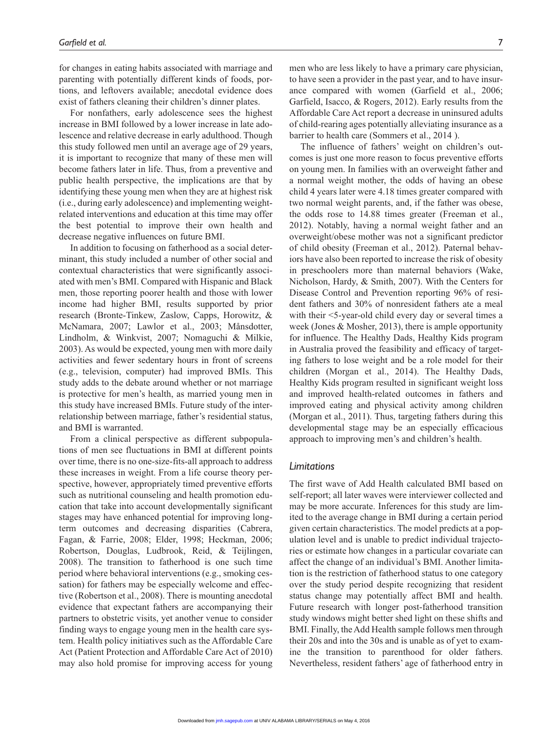for changes in eating habits associated with marriage and parenting with potentially different kinds of foods, portions, and leftovers available; anecdotal evidence does exist of fathers cleaning their children's dinner plates.

For nonfathers, early adolescence sees the highest increase in BMI followed by a lower increase in late adolescence and relative decrease in early adulthood. Though this study followed men until an average age of 29 years, it is important to recognize that many of these men will become fathers later in life. Thus, from a preventive and public health perspective, the implications are that by identifying these young men when they are at highest risk (i.e., during early adolescence) and implementing weightrelated interventions and education at this time may offer the best potential to improve their own health and decrease negative influences on future BMI.

In addition to focusing on fatherhood as a social determinant, this study included a number of other social and contextual characteristics that were significantly associated with men's BMI. Compared with Hispanic and Black men, those reporting poorer health and those with lower income had higher BMI, results supported by prior research (Bronte-Tinkew, Zaslow, Capps, Horowitz, & McNamara, 2007; Lawlor et al., 2003; Månsdotter, Lindholm, & Winkvist, 2007; Nomaguchi & Milkie, 2003). As would be expected, young men with more daily activities and fewer sedentary hours in front of screens (e.g., television, computer) had improved BMIs. This study adds to the debate around whether or not marriage is protective for men's health, as married young men in this study have increased BMIs. Future study of the interrelationship between marriage, father's residential status, and BMI is warranted.

From a clinical perspective as different subpopulations of men see fluctuations in BMI at different points over time, there is no one-size-fits-all approach to address these increases in weight. From a life course theory perspective, however, appropriately timed preventive efforts such as nutritional counseling and health promotion education that take into account developmentally significant stages may have enhanced potential for improving longterm outcomes and decreasing disparities (Cabrera, Fagan, & Farrie, 2008; Elder, 1998; Heckman, 2006; Robertson, Douglas, Ludbrook, Reid, & Teijlingen, 2008). The transition to fatherhood is one such time period where behavioral interventions (e.g., smoking cessation) for fathers may be especially welcome and effective (Robertson et al., 2008). There is mounting anecdotal evidence that expectant fathers are accompanying their partners to obstetric visits, yet another venue to consider finding ways to engage young men in the health care system. Health policy initiatives such as the Affordable Care Act (Patient Protection and Affordable Care Act of 2010) may also hold promise for improving access for young

men who are less likely to have a primary care physician, to have seen a provider in the past year, and to have insurance compared with women (Garfield et al., 2006; Garfield, Isacco, & Rogers, 2012). Early results from the Affordable Care Act report a decrease in uninsured adults of child-rearing ages potentially alleviating insurance as a barrier to health care (Sommers et al., 2014 ).

The influence of fathers' weight on children's outcomes is just one more reason to focus preventive efforts on young men. In families with an overweight father and a normal weight mother, the odds of having an obese child 4 years later were 4.18 times greater compared with two normal weight parents, and, if the father was obese, the odds rose to 14.88 times greater (Freeman et al., 2012). Notably, having a normal weight father and an overweight/obese mother was not a significant predictor of child obesity (Freeman et al., 2012). Paternal behaviors have also been reported to increase the risk of obesity in preschoolers more than maternal behaviors (Wake, Nicholson, Hardy, & Smith, 2007). With the Centers for Disease Control and Prevention reporting 96% of resident fathers and 30% of nonresident fathers ate a meal with their <5-year-old child every day or several times a week (Jones & Mosher, 2013), there is ample opportunity for influence. The Healthy Dads, Healthy Kids program in Australia proved the feasibility and efficacy of targeting fathers to lose weight and be a role model for their children (Morgan et al., 2014). The Healthy Dads, Healthy Kids program resulted in significant weight loss and improved health-related outcomes in fathers and improved eating and physical activity among children (Morgan et al., 2011). Thus, targeting fathers during this developmental stage may be an especially efficacious approach to improving men's and children's health.

#### *Limitations*

The first wave of Add Health calculated BMI based on self-report; all later waves were interviewer collected and may be more accurate. Inferences for this study are limited to the average change in BMI during a certain period given certain characteristics. The model predicts at a population level and is unable to predict individual trajectories or estimate how changes in a particular covariate can affect the change of an individual's BMI. Another limitation is the restriction of fatherhood status to one category over the study period despite recognizing that resident status change may potentially affect BMI and health. Future research with longer post-fatherhood transition study windows might better shed light on these shifts and BMI. Finally, the Add Health sample follows men through their 20s and into the 30s and is unable as of yet to examine the transition to parenthood for older fathers. Nevertheless, resident fathers' age of fatherhood entry in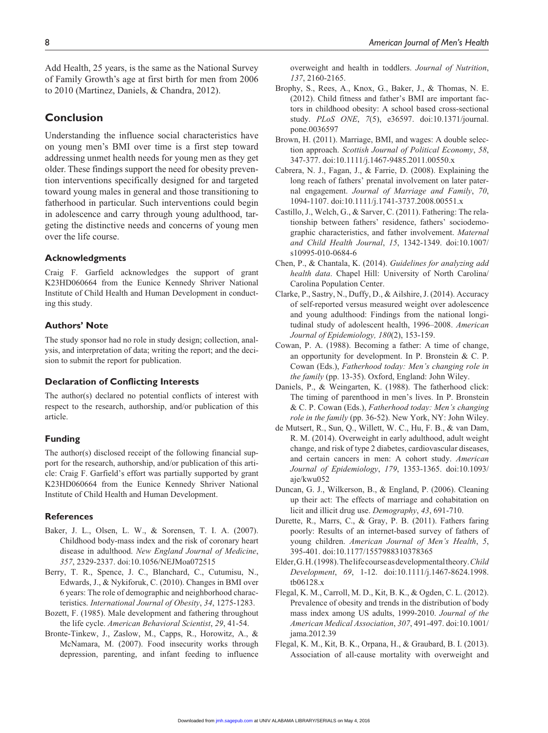Add Health, 25 years, is the same as the National Survey of Family Growth's age at first birth for men from 2006 to 2010 (Martinez, Daniels, & Chandra, 2012).

# **Conclusion**

Understanding the influence social characteristics have on young men's BMI over time is a first step toward addressing unmet health needs for young men as they get older. These findings support the need for obesity prevention interventions specifically designed for and targeted toward young males in general and those transitioning to fatherhood in particular. Such interventions could begin in adolescence and carry through young adulthood, targeting the distinctive needs and concerns of young men over the life course.

#### **Acknowledgments**

Craig F. Garfield acknowledges the support of grant K23HD060664 from the Eunice Kennedy Shriver National Institute of Child Health and Human Development in conducting this study.

#### **Authors' Note**

The study sponsor had no role in study design; collection, analysis, and interpretation of data; writing the report; and the decision to submit the report for publication.

#### **Declaration of Conflicting Interests**

The author(s) declared no potential conflicts of interest with respect to the research, authorship, and/or publication of this article.

#### **Funding**

The author(s) disclosed receipt of the following financial support for the research, authorship, and/or publication of this article: Craig F. Garfield's effort was partially supported by grant K23HD060664 from the Eunice Kennedy Shriver National Institute of Child Health and Human Development.

#### **References**

- Baker, J. L., Olsen, L. W., & Sorensen, T. I. A. (2007). Childhood body-mass index and the risk of coronary heart disease in adulthood. *New England Journal of Medicine*, *357*, 2329-2337. doi:10.1056/NEJMoa072515
- Berry, T. R., Spence, J. C., Blanchard, C., Cutumisu, N., Edwards, J., & Nykiforuk, C. (2010). Changes in BMI over 6 years: The role of demographic and neighborhood characteristics. *International Journal of Obesity*, *34*, 1275-1283.
- Bozett, F. (1985). Male development and fathering throughout the life cycle. *American Behavioral Scientist*, *29*, 41-54.
- Bronte-Tinkew, J., Zaslow, M., Capps, R., Horowitz, A., & McNamara, M. (2007). Food insecurity works through depression, parenting, and infant feeding to influence

overweight and health in toddlers. *Journal of Nutrition*, *137*, 2160-2165.

- Brophy, S., Rees, A., Knox, G., Baker, J., & Thomas, N. E. (2012). Child fitness and father's BMI are important factors in childhood obesity: A school based cross-sectional study. *PLoS ONE*, *7*(5), e36597. doi:10.1371/journal. pone.0036597
- Brown, H. (2011). Marriage, BMI, and wages: A double selection approach. *Scottish Journal of Political Economy*, *58*, 347-377. doi:10.1111/j.1467-9485.2011.00550.x
- Cabrera, N. J., Fagan, J., & Farrie, D. (2008). Explaining the long reach of fathers' prenatal involvement on later paternal engagement. *Journal of Marriage and Family*, *70*, 1094-1107. doi:10.1111/j.1741-3737.2008.00551.x
- Castillo, J., Welch, G., & Sarver, C. (2011). Fathering: The relationship between fathers' residence, fathers' sociodemographic characteristics, and father involvement. *Maternal and Child Health Journal*, *15*, 1342-1349. doi:10.1007/ s10995-010-0684-6
- Chen, P., & Chantala, K. (2014). *Guidelines for analyzing add health data*. Chapel Hill: University of North Carolina/ Carolina Population Center.
- Clarke, P., Sastry, N., Duffy, D., & Ailshire, J. (2014). Accuracy of self-reported versus measured weight over adolescence and young adulthood: Findings from the national longitudinal study of adolescent health, 1996–2008. *American Journal of Epidemiology, 180*(2), 153-159.
- Cowan, P. A. (1988). Becoming a father: A time of change, an opportunity for development. In P. Bronstein & C. P. Cowan (Eds.), *Fatherhood today: Men's changing role in the family* (pp. 13-35). Oxford, England: John Wiley.
- Daniels, P., & Weingarten, K. (1988). The fatherhood click: The timing of parenthood in men's lives. In P. Bronstein & C. P. Cowan (Eds.), *Fatherhood today: Men's changing role in the family* (pp. 36-52). New York, NY: John Wiley.
- de Mutsert, R., Sun, Q., Willett, W. C., Hu, F. B., & van Dam, R. M. (2014). Overweight in early adulthood, adult weight change, and risk of type 2 diabetes, cardiovascular diseases, and certain cancers in men: A cohort study. *American Journal of Epidemiology*, *179*, 1353-1365. doi:10.1093/ aje/kwu052
- Duncan, G. J., Wilkerson, B., & England, P. (2006). Cleaning up their act: The effects of marriage and cohabitation on licit and illicit drug use. *Demography*, *43*, 691-710.
- Durette, R., Marrs, C., & Gray, P. B. (2011). Fathers faring poorly: Results of an internet-based survey of fathers of young children. *American Journal of Men's Health*, *5*, 395-401. doi:10.1177/1557988310378365
- Elder, G. H. (1998). The life course as developmental theory. *Child Development*, *69*, 1-12. doi:10.1111/j.1467-8624.1998. tb06128.x
- Flegal, K. M., Carroll, M. D., Kit, B. K., & Ogden, C. L. (2012). Prevalence of obesity and trends in the distribution of body mass index among US adults, 1999-2010. *Journal of the American Medical Association*, *307*, 491-497. doi:10.1001/ jama.2012.39
- Flegal, K. M., Kit, B. K., Orpana, H., & Graubard, B. I. (2013). Association of all-cause mortality with overweight and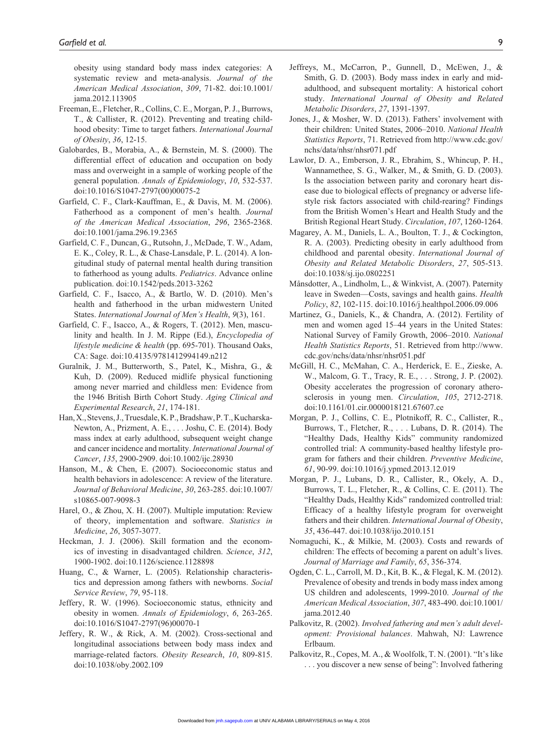obesity using standard body mass index categories: A systematic review and meta-analysis. *Journal of the American Medical Association*, *309*, 71-82. doi:10.1001/ jama.2012.113905

- Freeman, E., Fletcher, R., Collins, C. E., Morgan, P. J., Burrows, T., & Callister, R. (2012). Preventing and treating childhood obesity: Time to target fathers. *International Journal of Obesity*, *36*, 12-15.
- Galobardes, B., Morabia, A., & Bernstein, M. S. (2000). The differential effect of education and occupation on body mass and overweight in a sample of working people of the general population. *Annals of Epidemiology*, *10*, 532-537. doi:10.1016/S1047-2797(00)00075-2
- Garfield, C. F., Clark-Kauffman, E., & Davis, M. M. (2006). Fatherhood as a component of men's health. *Journal of the American Medical Association*, *296*, 2365-2368. doi:10.1001/jama.296.19.2365
- Garfield, C. F., Duncan, G., Rutsohn, J., McDade, T. W., Adam, E. K., Coley, R. L., & Chase-Lansdale, P. L. (2014). A longitudinal study of paternal mental health during transition to fatherhood as young adults. *Pediatrics*. Advance online publication. doi:10.1542/peds.2013-3262
- Garfield, C. F., Isacco, A., & Bartlo, W. D. (2010). Men's health and fatherhood in the urban midwestern United States. *International Journal of Men's Health*, *9*(3), 161.
- Garfield, C. F., Isacco, A., & Rogers, T. (2012). Men, masculinity and health. In J. M. Rippe (Ed.), *Encyclopedia of lifestyle medicine & health* (pp. 695-701). Thousand Oaks, CA: Sage. doi:10.4135/9781412994149.n212
- Guralnik, J. M., Butterworth, S., Patel, K., Mishra, G., & Kuh, D. (2009). Reduced midlife physical functioning among never married and childless men: Evidence from the 1946 British Birth Cohort Study. *Aging Clinical and Experimental Research*, *21*, 174-181.
- Han, X., Stevens, J., Truesdale, K. P., Bradshaw, P. T., Kucharska-Newton, A., Prizment, A. E., . . . Joshu, C. E. (2014). Body mass index at early adulthood, subsequent weight change and cancer incidence and mortality. *International Journal of Cancer*, *135*, 2900-2909. doi:10.1002/ijc.28930
- Hanson, M., & Chen, E. (2007). Socioeconomic status and health behaviors in adolescence: A review of the literature. *Journal of Behavioral Medicine*, *30*, 263-285. doi:10.1007/ s10865-007-9098-3
- Harel, O., & Zhou, X. H. (2007). Multiple imputation: Review of theory, implementation and software. *Statistics in Medicine*, *26*, 3057-3077.
- Heckman, J. J. (2006). Skill formation and the economics of investing in disadvantaged children. *Science*, *312*, 1900-1902. doi:10.1126/science.1128898
- Huang, C., & Warner, L. (2005). Relationship characteristics and depression among fathers with newborns. *Social Service Review*, *79*, 95-118.
- Jeffery, R. W. (1996). Socioeconomic status, ethnicity and obesity in women. *Annals of Epidemiology*, *6*, 263-265. doi:10.1016/S1047-2797(96)00070-1
- Jeffery, R. W., & Rick, A. M. (2002). Cross-sectional and longitudinal associations between body mass index and marriage-related factors. *Obesity Research*, *10*, 809-815. doi:10.1038/oby.2002.109
- Jeffreys, M., McCarron, P., Gunnell, D., McEwen, J., & Smith, G. D. (2003). Body mass index in early and midadulthood, and subsequent mortality: A historical cohort study. *International Journal of Obesity and Related Metabolic Disorders*, *27*, 1391-1397.
- Jones, J., & Mosher, W. D. (2013). Fathers' involvement with their children: United States, 2006–2010. *National Health Statistics Reports*, 71. Retrieved from [http://www.cdc.gov/](http://www.cdc.gov/nchs/data/nhsr/nhsr071.pdf) [nchs/data/nhsr/nhsr071.pdf](http://www.cdc.gov/nchs/data/nhsr/nhsr071.pdf)
- Lawlor, D. A., Emberson, J. R., Ebrahim, S., Whincup, P. H., Wannamethee, S. G., Walker, M., & Smith, G. D. (2003). Is the association between parity and coronary heart disease due to biological effects of pregnancy or adverse lifestyle risk factors associated with child-rearing? Findings from the British Women's Heart and Health Study and the British Regional Heart Study. *Circulation*, *107*, 1260-1264.
- Magarey, A. M., Daniels, L. A., Boulton, T. J., & Cockington, R. A. (2003). Predicting obesity in early adulthood from childhood and parental obesity. *International Journal of Obesity and Related Metabolic Disorders*, *27*, 505-513. doi:10.1038/sj.ijo.0802251
- Månsdotter, A., Lindholm, L., & Winkvist, A. (2007). Paternity leave in Sweden—Costs, savings and health gains. *Health Policy*, *82*, 102-115. doi:10.1016/j.healthpol.2006.09.006
- Martinez, G., Daniels, K., & Chandra, A. (2012). Fertility of men and women aged 15–44 years in the United States: National Survey of Family Growth, 2006–2010. *National Health Statistics Reports*, 51. Retrieved from [http://www.](http://www.cdc.gov/nchs/data/nhsr/nhsr051.pdf) [cdc.gov/nchs/data/nhsr/nhsr051.pdf](http://www.cdc.gov/nchs/data/nhsr/nhsr051.pdf)
- McGill, H. C., McMahan, C. A., Herderick, E. E., Zieske, A. W., Malcom, G. T., Tracy, R. E., . . . Strong, J. P. (2002). Obesity accelerates the progression of coronary atherosclerosis in young men. *Circulation*, *105*, 2712-2718. doi:10.1161/01.cir.0000018121.67607.ce
- Morgan, P. J., Collins, C. E., Plotnikoff, R. C., Callister, R., Burrows, T., Fletcher, R., . . . Lubans, D. R. (2014). The "Healthy Dads, Healthy Kids" community randomized controlled trial: A community-based healthy lifestyle program for fathers and their children. *Preventive Medicine*, *61*, 90-99. doi:10.1016/j.ypmed.2013.12.019
- Morgan, P. J., Lubans, D. R., Callister, R., Okely, A. D., Burrows, T. L., Fletcher, R., & Collins, C. E. (2011). The "Healthy Dads, Healthy Kids" randomized controlled trial: Efficacy of a healthy lifestyle program for overweight fathers and their children. *International Journal of Obesity*, *35*, 436-447. doi:10.1038/ijo.2010.151
- Nomaguchi, K., & Milkie, M. (2003). Costs and rewards of children: The effects of becoming a parent on adult's lives. *Journal of Marriage and Family*, *65*, 356-374.
- Ogden, C. L., Carroll, M. D., Kit, B. K., & Flegal, K. M. (2012). Prevalence of obesity and trends in body mass index among US children and adolescents, 1999-2010. *Journal of the American Medical Association*, *307*, 483-490. doi:10.1001/ jama.2012.40
- Palkovitz, R. (2002). *Involved fathering and men's adult development: Provisional balances*. Mahwah, NJ: Lawrence Erlbaum.
- Palkovitz, R., Copes, M. A., & Woolfolk, T. N. (2001). "It's like . . . you discover a new sense of being": Involved fathering